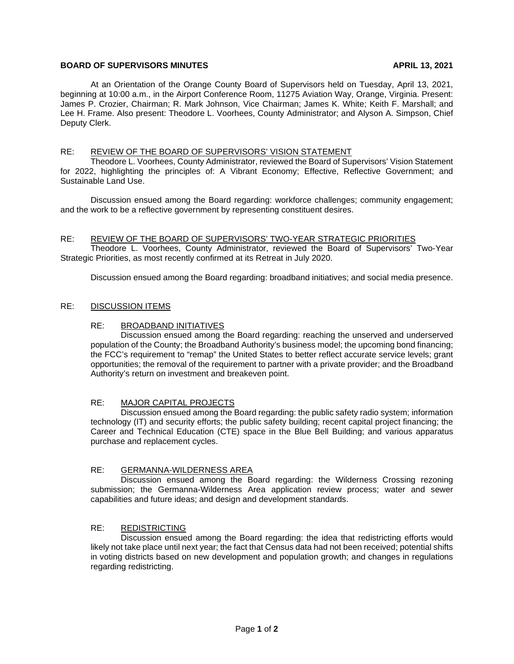## **BOARD OF SUPERVISORS MINUTES APRIL 13, 2021**

At an Orientation of the Orange County Board of Supervisors held on Tuesday, April 13, 2021, beginning at 10:00 a.m., in the Airport Conference Room, 11275 Aviation Way, Orange, Virginia. Present: James P. Crozier, Chairman; R. Mark Johnson, Vice Chairman; James K. White; Keith F. Marshall; and Lee H. Frame. Also present: Theodore L. Voorhees, County Administrator; and Alyson A. Simpson, Chief Deputy Clerk.

## RE: REVIEW OF THE BOARD OF SUPERVISORS' VISION STATEMENT

Theodore L. Voorhees, County Administrator, reviewed the Board of Supervisors' Vision Statement for 2022, highlighting the principles of: A Vibrant Economy; Effective, Reflective Government; and Sustainable Land Use.

Discussion ensued among the Board regarding: workforce challenges; community engagement; and the work to be a reflective government by representing constituent desires.

#### RE: REVIEW OF THE BOARD OF SUPERVISORS' TWO-YEAR STRATEGIC PRIORITIES

Theodore L. Voorhees, County Administrator, reviewed the Board of Supervisors' Two-Year Strategic Priorities, as most recently confirmed at its Retreat in July 2020.

Discussion ensued among the Board regarding: broadband initiatives; and social media presence.

#### RE: DISCUSSION ITEMS

#### RE: BROADBAND INITIATIVES

Discussion ensued among the Board regarding: reaching the unserved and underserved population of the County; the Broadband Authority's business model; the upcoming bond financing; the FCC's requirement to "remap" the United States to better reflect accurate service levels; grant opportunities; the removal of the requirement to partner with a private provider; and the Broadband Authority's return on investment and breakeven point.

# RE: MAJOR CAPITAL PROJECTS

Discussion ensued among the Board regarding: the public safety radio system; information technology (IT) and security efforts; the public safety building; recent capital project financing; the Career and Technical Education (CTE) space in the Blue Bell Building; and various apparatus purchase and replacement cycles.

#### RE: GERMANNA-WILDERNESS AREA

Discussion ensued among the Board regarding: the Wilderness Crossing rezoning submission; the Germanna-Wilderness Area application review process; water and sewer capabilities and future ideas; and design and development standards.

# RE: REDISTRICTING

Discussion ensued among the Board regarding: the idea that redistricting efforts would likely not take place until next year; the fact that Census data had not been received; potential shifts in voting districts based on new development and population growth; and changes in regulations regarding redistricting.